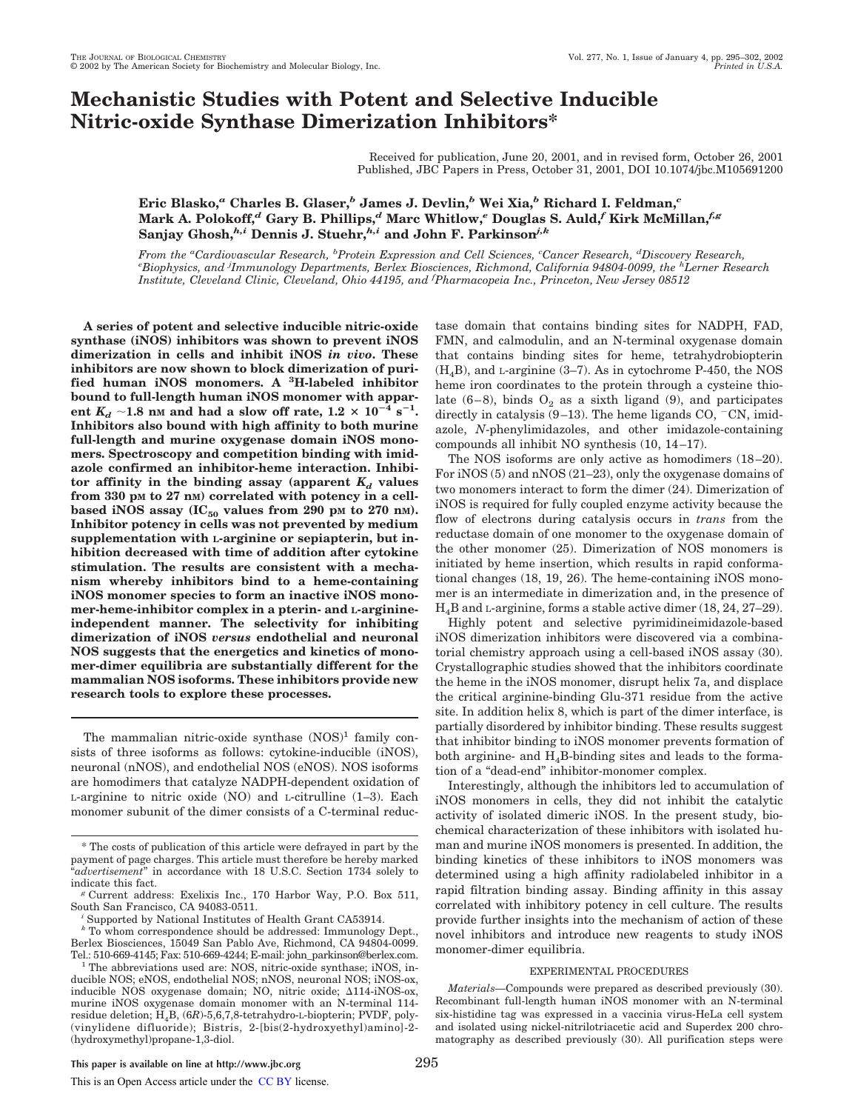# **Mechanistic Studies with Potent and Selective Inducible Nitric-oxide Synthase Dimerization Inhibitors\***

Received for publication, June 20, 2001, and in revised form, October 26, 2001 Published, JBC Papers in Press, October 31, 2001, DOI 10.1074/jbc.M105691200

# **Eric Blasko,***<sup>a</sup>* **Charles B. Glaser,***<sup>b</sup>* **James J. Devlin,***<sup>b</sup>* **Wei Xia,***<sup>b</sup>* **Richard I. Feldman,***<sup>c</sup>* **Mark A. Polokoff,***<sup>d</sup>* **Gary B. Phillips,***<sup>d</sup>* **Marc Whitlow,***<sup>e</sup>* **Douglas S. Auld,***<sup>f</sup>* **Kirk McMillan,***f,g* **Sanjay Ghosh,***h,i* **Dennis J. Stuehr,***h,i* **and John F. Parkinson***j,k*

*From the <sup>a</sup>Cardiovascular Research, <sup>b</sup>Protein Expression and Cell Sciences, <sup>c</sup>Cancer Research, <sup>d</sup>Discovery Research, <sup>e</sup>Biophysics, and <sup>j</sup> Immunology Departments, Berlex Biosciences, Richmond, California 94804-0099, the <sup>h</sup>Lerner Research Institute, Cleveland Clinic, Cleveland, Ohio 44195, and <sup>f</sup>Pharmacopeia Inc., Princeton, New Jersey 08512*

**A series of potent and selective inducible nitric-oxide synthase (iNOS) inhibitors was shown to prevent iNOS dimerization in cells and inhibit iNOS** *in vivo***. These inhibitors are now shown to block dimerization of purified human iNOS monomers. A <sup>3</sup>H-labeled inhibitor bound to full-length human iNOS monomer with apparent**  $K_d \sim 1.8$  nm and had a slow off rate,  $1.2 \times 10^{-4}$  s<sup>-1</sup>. **Inhibitors also bound with high affinity to both murine full-length and murine oxygenase domain iNOS monomers. Spectroscopy and competition binding with imidazole confirmed an inhibitor-heme interaction. Inhibi**tor affinity in the binding assay (apparent  $K_d$  values **from 330 pM to 27 nM) correlated with potency in a cellbased iNOS assay (IC<sup>50</sup> values from 290 p<sup>M</sup> to 270 nM). Inhibitor potency in cells was not prevented by medium supplementation with L-arginine or sepiapterin, but inhibition decreased with time of addition after cytokine stimulation. The results are consistent with a mechanism whereby inhibitors bind to a heme-containing iNOS monomer species to form an inactive iNOS monomer-heme-inhibitor complex in a pterin- and L-arginineindependent manner. The selectivity for inhibiting dimerization of iNOS** *versus* **endothelial and neuronal NOS suggests that the energetics and kinetics of monomer-dimer equilibria are substantially different for the mammalian NOS isoforms. These inhibitors provide new research tools to explore these processes.**

The mammalian nitric-oxide synthase  $(NOS)^1$  family consists of three isoforms as follows: cytokine-inducible (iNOS), neuronal (nNOS), and endothelial NOS (eNOS). NOS isoforms are homodimers that catalyze NADPH-dependent oxidation of L-arginine to nitric oxide (NO) and L-citrulline (1–3). Each monomer subunit of the dimer consists of a C-terminal reduc-

Supported by National Institutes of Health Grant CA53914.

tase domain that contains binding sites for NADPH, FAD, FMN, and calmodulin, and an N-terminal oxygenase domain that contains binding sites for heme, tetrahydrobiopterin  $(H<sub>4</sub>B)$ , and L-arginine (3–7). As in cytochrome P-450, the NOS heme iron coordinates to the protein through a cysteine thiolate  $(6-8)$ , binds  $O_2$  as a sixth ligand (9), and participates directly in catalysis  $(9-13)$ . The heme ligands CO,  $\overline{C}$  CN, imidazole, *N*-phenylimidazoles, and other imidazole-containing compounds all inhibit NO synthesis (10, 14–17).

The NOS isoforms are only active as homodimers (18–20). For iNOS (5) and nNOS (21–23), only the oxygenase domains of two monomers interact to form the dimer (24). Dimerization of iNOS is required for fully coupled enzyme activity because the flow of electrons during catalysis occurs in *trans* from the reductase domain of one monomer to the oxygenase domain of the other monomer (25). Dimerization of NOS monomers is initiated by heme insertion, which results in rapid conformational changes (18, 19, 26). The heme-containing iNOS monomer is an intermediate in dimerization and, in the presence of H4B and <sup>L</sup>-arginine, forms a stable active dimer (18, 24, 27–29).

Highly potent and selective pyrimidineimidazole-based iNOS dimerization inhibitors were discovered via a combinatorial chemistry approach using a cell-based iNOS assay (30). Crystallographic studies showed that the inhibitors coordinate the heme in the iNOS monomer, disrupt helix 7a, and displace the critical arginine-binding Glu-371 residue from the active site. In addition helix 8, which is part of the dimer interface, is partially disordered by inhibitor binding. These results suggest that inhibitor binding to iNOS monomer prevents formation of both arginine- and  $H_4B$ -binding sites and leads to the formation of a "dead-end" inhibitor-monomer complex.

Interestingly, although the inhibitors led to accumulation of iNOS monomers in cells, they did not inhibit the catalytic activity of isolated dimeric iNOS. In the present study, biochemical characterization of these inhibitors with isolated human and murine iNOS monomers is presented. In addition, the binding kinetics of these inhibitors to iNOS monomers was determined using a high affinity radiolabeled inhibitor in a rapid filtration binding assay. Binding affinity in this assay correlated with inhibitory potency in cell culture. The results provide further insights into the mechanism of action of these novel inhibitors and introduce new reagents to study iNOS monomer-dimer equilibria.

## EXPERIMENTAL PROCEDURES

*Materials—*Compounds were prepared as described previously (30). Recombinant full-length human iNOS monomer with an N-terminal six-histidine tag was expressed in a vaccinia virus-HeLa cell system and isolated using nickel-nitrilotriacetic acid and Superdex 200 chromatography as described previously (30). All purification steps were

<sup>\*</sup> The costs of publication of this article were defrayed in part by the payment of page charges. This article must therefore be hereby marked "*advertisement*" in accordance with 18 U.S.C. Section 1734 solely to indicate this fact.

*<sup>g</sup>* Current address: Exelixis Inc., 170 Harbor Way, P.O. Box 511, South San Francisco, CA 94083-0511.

*<sup>k</sup>* To whom correspondence should be addressed: Immunology Dept., Berlex Biosciences, 15049 San Pablo Ave, Richmond, CA 94804-0099. Tel.: 510-669-4145; Fax: 510-669-4244; E-mail: john\_parkinson@berlex.com.

<sup>1</sup> The abbreviations used are: NOS, nitric-oxide synthase; iNOS, inducible NOS; eNOS, endothelial NOS; nNOS, neuronal NOS; iNOS-ox, inducible NOS oxygenase domain; NO, nitric oxide; 114-iNOS-ox, murine iNOS oxygenase domain monomer with an N-terminal 114 residue deletion; H4B, (6*R*)-5,6,7,8-tetrahydro-L-biopterin; PVDF, poly- (vinylidene difluoride); Bistris, 2-[bis(2-hydroxyethyl)amino]-2- (hydroxymethyl)propane-1,3-diol.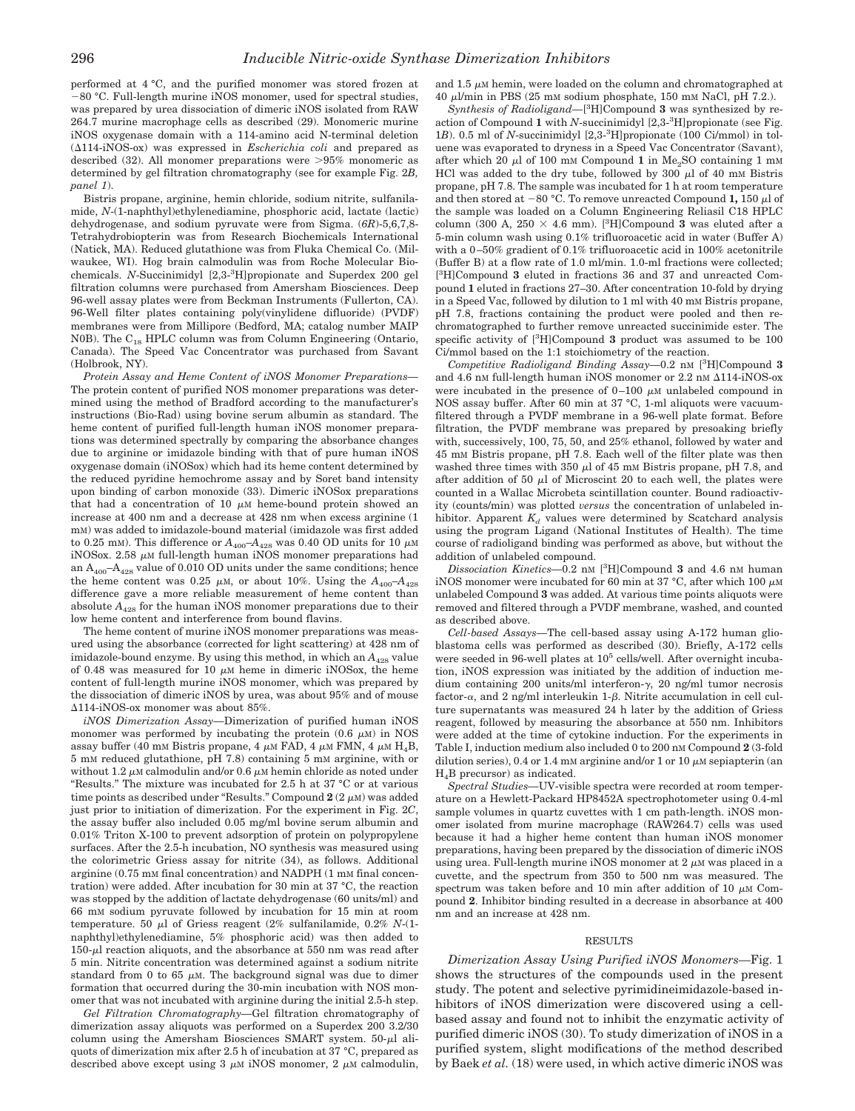performed at 4 °C, and the purified monomer was stored frozen at -80 °C. Full-length murine iNOS monomer, used for spectral studies, was prepared by urea dissociation of dimeric iNOS isolated from RAW 264.7 murine macrophage cells as described (29). Monomeric murine iNOS oxygenase domain with a 114-amino acid N-terminal deletion (114-iNOS-ox) was expressed in *Escherichia coli* and prepared as described  $(32)$ . All monomer preparations were  $>95\%$  monomeric as determined by gel filtration chromatography (see for example Fig. 2*B, panel 1*).

Bistris propane, arginine, hemin chloride, sodium nitrite, sulfanilamide, *N*-(1-naphthyl)ethylenediamine, phosphoric acid, lactate (lactic) dehydrogenase, and sodium pyruvate were from Sigma. (*6R*)-5,6,7,8- Tetrahydrobiopterin was from Research Biochemicals International (Natick, MA). Reduced glutathione was from Fluka Chemical Co. (Milwaukee, WI). Hog brain calmodulin was from Roche Molecular Biochemicals. *N*-Succinimidyl [2,3-3H]propionate and Superdex 200 gel filtration columns were purchased from Amersham Biosciences. Deep 96-well assay plates were from Beckman Instruments (Fullerton, CA). 96-Well filter plates containing poly(vinylidene difluoride) (PVDF) membranes were from Millipore (Bedford, MA; catalog number MAIP N0B). The  $C_{18}$  HPLC column was from Column Engineering (Ontario, Canada). The Speed Vac Concentrator was purchased from Savant (Holbrook, NY).

*Protein Assay and Heme Content of iNOS Monomer Preparations—* The protein content of purified NOS monomer preparations was determined using the method of Bradford according to the manufacturer's instructions (Bio-Rad) using bovine serum albumin as standard. The heme content of purified full-length human iNOS monomer preparations was determined spectrally by comparing the absorbance changes due to arginine or imidazole binding with that of pure human iNOS oxygenase domain (iNOSox) which had its heme content determined by the reduced pyridine hemochrome assay and by Soret band intensity upon binding of carbon monoxide (33). Dimeric iNOSox preparations that had a concentration of 10  $\mu$ M heme-bound protein showed an increase at 400 nm and a decrease at 428 nm when excess arginine (1 mM) was added to imidazole-bound material (imidazole was first added to 0.25 mM). This difference or  $A_{400}$ – $A_{428}$  was 0.40 OD units for 10  $\mu$ M iNOSox. 2.58  $\mu$ M full-length human iNOS monomer preparations had an  $A_{400} - A_{428}$  value of 0.010 OD units under the same conditions; hence the heme content was 0.25  $\mu$ M, or about 10%. Using the  $A_{400}$ - $A_{428}$ difference gave a more reliable measurement of heme content than absolute *A*<sup>428</sup> for the human iNOS monomer preparations due to their low heme content and interference from bound flavins.

The heme content of murine iNOS monomer preparations was measured using the absorbance (corrected for light scattering) at 428 nm of imidazole-bound enzyme. By using this method, in which an  $A_{428}$  value of 0.48 was measured for 10  $\mu$ M heme in dimeric iNOSox, the heme content of full-length murine iNOS monomer, which was prepared by the dissociation of dimeric iNOS by urea, was about 95% and of mouse 114-iNOS-ox monomer was about 85%.

*iNOS Dimerization Assay—*Dimerization of purified human iNOS monomer was performed by incubating the protein  $(0.6 \mu M)$  in NOS assay buffer (40 mm Bistris propane, 4  $\mu$ m FAD, 4  $\mu$ m FMN, 4  $\mu$ m H<sub>4</sub>B, 5 mM reduced glutathione, pH 7.8) containing 5 mM arginine, with or without 1.2  $\mu$ <sub>N</sub> calmodulin and/or 0.6  $\mu$ <sub>N</sub> hemin chloride as noted under "Results." The mixture was incubated for 2.5 h at 37 °C or at various time points as described under "Results." Compound  $2(2 \mu M)$  was added just prior to initiation of dimerization. For the experiment in Fig. 2*C*, the assay buffer also included 0.05 mg/ml bovine serum albumin and 0.01% Triton X-100 to prevent adsorption of protein on polypropylene surfaces. After the 2.5-h incubation, NO synthesis was measured using the colorimetric Griess assay for nitrite (34), as follows. Additional arginine (0.75 mM final concentration) and NADPH (1 mM final concentration) were added. After incubation for 30 min at 37 °C, the reaction was stopped by the addition of lactate dehydrogenase (60 units/ml) and 66 mM sodium pyruvate followed by incubation for 15 min at room temperature. 50  $\mu$ l of Griess reagent (2% sulfanilamide, 0.2% *N*-(1naphthyl)ethylenediamine, 5% phosphoric acid) was then added to  $150-\mu$  reaction aliquots, and the absorbance at 550 nm was read after 5 min. Nitrite concentration was determined against a sodium nitrite standard from 0 to 65  $\mu$ M. The background signal was due to dimer formation that occurred during the 30-min incubation with NOS monomer that was not incubated with arginine during the initial 2.5-h step.

*Gel Filtration Chromatography—*Gel filtration chromatography of dimerization assay aliquots was performed on a Superdex 200 3.2/30 column using the Amersham Biosciences SMART system.  $50-\mu l$  aliquots of dimerization mix after 2.5 h of incubation at 37 °C, prepared as described above except using  $3 \mu M$  iNOS monomer,  $2 \mu M$  calmodulin, and 1.5  $\mu$ M hemin, were loaded on the column and chromatographed at 40  $\mu$ l/min in PBS (25 mm sodium phosphate, 150 mm NaCl, pH 7.2.).

*Synthesis of Radioligand—*[ <sup>3</sup>H]Compound **3** was synthesized by reaction of Compound **1** with *N*-succinimidyl [2,3-3H]propionate (see Fig. 1*B*). 0.5 ml of *N*-succinimidyl [2,3-3H]propionate (100 Ci/mmol) in toluene was evaporated to dryness in a Speed Vac Concentrator (Savant), after which 20  $\mu$ l of 100 mM Compound 1 in Me<sub>2</sub>SO containing 1 mM HCl was added to the dry tube, followed by 300  $\mu$ l of 40 mM Bistris propane, pH 7.8. The sample was incubated for 1 h at room temperature and then stored at  $-80$  °C. To remove unreacted Compound 1, 150  $\mu$ l of the sample was loaded on a Column Engineering Reliasil C18 HPLC column (300 A,  $250 \times 4.6$  mm). [<sup>3</sup>H]Compound **3** was eluted after a 5-min column wash using 0.1% trifluoroacetic acid in water (Buffer A) with a 0–50% gradient of 0.1% trifluoroacetic acid in 100% acetonitrile (Buffer B) at a flow rate of 1.0 ml/min. 1.0-ml fractions were collected; [ <sup>3</sup>H]Compound **3** eluted in fractions 36 and 37 and unreacted Compound **1** eluted in fractions 27–30. After concentration 10-fold by drying in a Speed Vac, followed by dilution to 1 ml with 40 mM Bistris propane, pH 7.8, fractions containing the product were pooled and then rechromatographed to further remove unreacted succinimide ester. The specific activity of [3H]Compound **3** product was assumed to be 100 Ci/mmol based on the 1:1 stoichiometry of the reaction.

*Competitive Radioligand Binding Assay—*0.2 nM [ <sup>3</sup>H]Compound **3** and 4.6 nM full-length human iNOS monomer or 2.2 nM  $\Delta 114$ -iNOS-ox were incubated in the presence of  $0-100 \mu$ M unlabeled compound in NOS assay buffer. After 60 min at 37 °C, 1-ml aliquots were vacuumfiltered through a PVDF membrane in a 96-well plate format. Before filtration, the PVDF membrane was prepared by presoaking briefly with, successively, 100, 75, 50, and 25% ethanol, followed by water and 45 mM Bistris propane, pH 7.8. Each well of the filter plate was then washed three times with  $350 \mu l$  of  $45 \mu m$  Bistris propane, pH 7.8, and after addition of 50  $\mu$ l of Microscint 20 to each well, the plates were counted in a Wallac Microbeta scintillation counter. Bound radioactivity (counts/min) was plotted *versus* the concentration of unlabeled inhibitor. Apparent  $K_d$  values were determined by Scatchard analysis using the program Ligand (National Institutes of Health). The time course of radioligand binding was performed as above, but without the addition of unlabeled compound.

*Dissociation Kinetics—*0.2 nM [ <sup>3</sup>H]Compound **3** and 4.6 n<sup>M</sup> human iNOS monomer were incubated for 60 min at 37  $^{\circ}$ C, after which 100  $\mu$ M unlabeled Compound **3** was added. At various time points aliquots were removed and filtered through a PVDF membrane, washed, and counted as described above.

*Cell-based Assays—*The cell-based assay using A-172 human glioblastoma cells was performed as described (30). Briefly, A-172 cells were seeded in 96-well plates at 10<sup>5</sup> cells/well. After overnight incubation, iNOS expression was initiated by the addition of induction medium containing 200 units/ml interferon- $\gamma$ , 20 ng/ml tumor necrosis factor- $\alpha$ , and 2 ng/ml interleukin 1-8. Nitrite accumulation in cell culture supernatants was measured 24 h later by the addition of Griess reagent, followed by measuring the absorbance at 550 nm. Inhibitors were added at the time of cytokine induction. For the experiments in Table I, induction medium also included 0 to 200 nM Compound **2** (3-fold dilution series), 0.4 or 1.4 mM arginine and/or 1 or 10  $\mu$ M sepiapterin (an H<sub>a</sub>B precursor) as indicated.

*Spectral Studies—*UV-visible spectra were recorded at room temperature on a Hewlett-Packard HP8452A spectrophotometer using 0.4-ml sample volumes in quartz cuvettes with 1 cm path-length. iNOS monomer isolated from murine macrophage (RAW264.7) cells was used because it had a higher heme content than human iNOS monomer preparations, having been prepared by the dissociation of dimeric iNOS using urea. Full-length murine iNOS monomer at  $2 \mu$ M was placed in a cuvette, and the spectrum from 350 to 500 nm was measured. The spectrum was taken before and 10 min after addition of 10  $\mu$ M Compound **2**. Inhibitor binding resulted in a decrease in absorbance at 400 nm and an increase at 428 nm.

### RESULTS

*Dimerization Assay Using Purified iNOS Monomers—*Fig. 1 shows the structures of the compounds used in the present study. The potent and selective pyrimidineimidazole-based inhibitors of iNOS dimerization were discovered using a cellbased assay and found not to inhibit the enzymatic activity of purified dimeric iNOS (30). To study dimerization of iNOS in a purified system, slight modifications of the method described by Baek *et al.* (18) were used, in which active dimeric iNOS was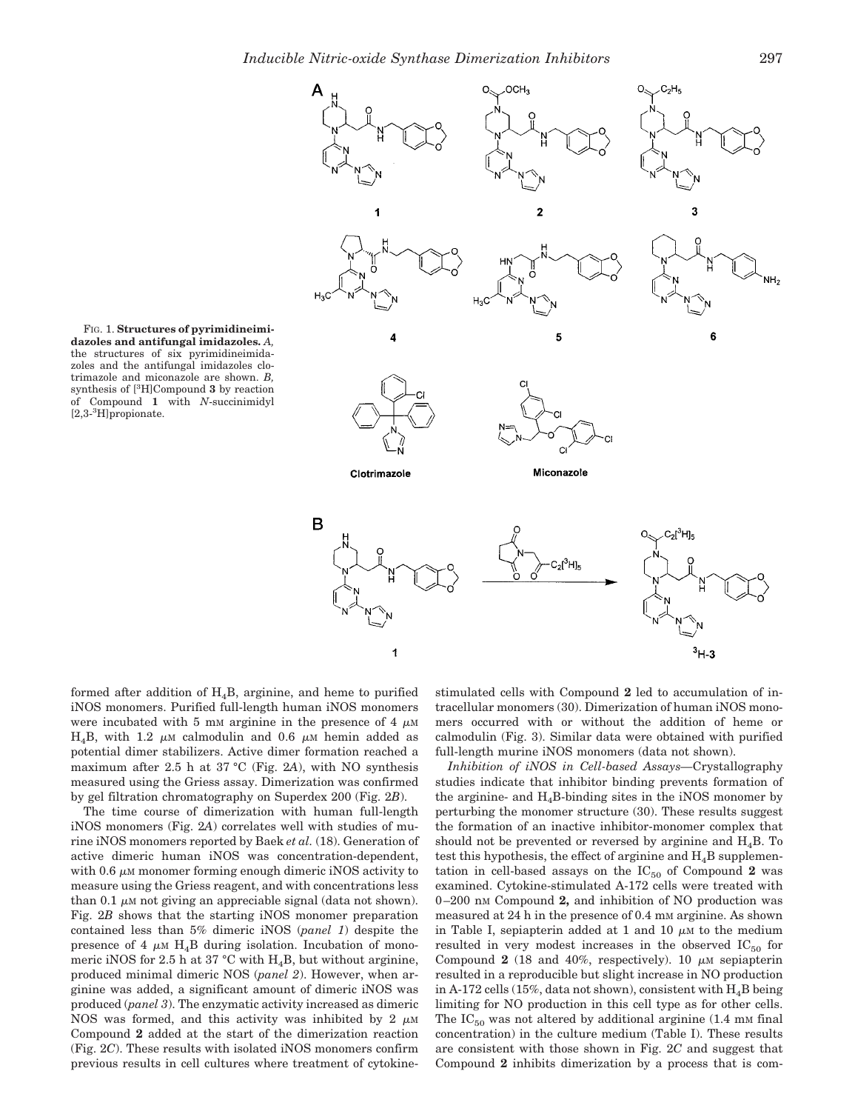

FIG. 1. **Structures of pyrimidineimidazoles and antifungal imidazoles.** *A,* the structures of six pyrimidineimidazoles and the antifungal imidazoles clotrimazole and miconazole are shown. *B,* synthesis of [3H]Compound **3** by reaction of Compound **1** with *N*-succinimidyl [2,3-3H]propionate.

formed after addition of  $H<sub>4</sub>B$ , arginine, and heme to purified iNOS monomers. Purified full-length human iNOS monomers were incubated with 5 mm arginine in the presence of 4  $\mu$ M  $H<sub>4</sub>B$ , with 1.2  $\mu$ M calmodulin and 0.6  $\mu$ M hemin added as potential dimer stabilizers. Active dimer formation reached a maximum after 2.5 h at 37 °C (Fig. 2*A*), with NO synthesis measured using the Griess assay. Dimerization was confirmed by gel filtration chromatography on Superdex 200 (Fig. 2*B*).

The time course of dimerization with human full-length iNOS monomers (Fig. 2*A*) correlates well with studies of murine iNOS monomers reported by Baek *et al.* (18). Generation of active dimeric human iNOS was concentration-dependent, with 0.6  $\mu$ M monomer forming enough dimeric iNOS activity to measure using the Griess reagent, and with concentrations less than  $0.1 \mu M$  not giving an appreciable signal (data not shown). Fig. 2*B* shows that the starting iNOS monomer preparation contained less than 5% dimeric iNOS (*panel 1*) despite the presence of 4  $\mu$ M H<sub>4</sub>B during isolation. Incubation of monomeric iNOS for 2.5 h at 37 °C with  $H<sub>4</sub>B$ , but without arginine, produced minimal dimeric NOS (*panel 2*). However, when arginine was added, a significant amount of dimeric iNOS was produced (*panel 3*). The enzymatic activity increased as dimeric NOS was formed, and this activity was inhibited by 2  $\mu$ M Compound **2** added at the start of the dimerization reaction (Fig. 2*C*). These results with isolated iNOS monomers confirm previous results in cell cultures where treatment of cytokinestimulated cells with Compound **2** led to accumulation of intracellular monomers (30). Dimerization of human iNOS monomers occurred with or without the addition of heme or calmodulin (Fig. 3). Similar data were obtained with purified full-length murine iNOS monomers (data not shown).

*Inhibition of iNOS in Cell-based Assays—*Crystallography studies indicate that inhibitor binding prevents formation of the arginine- and  $H<sub>4</sub>B$ -binding sites in the iNOS monomer by perturbing the monomer structure (30). These results suggest the formation of an inactive inhibitor-monomer complex that should not be prevented or reversed by arginine and  $H<sub>4</sub>B$ . To test this hypothesis, the effect of arginine and  $H_4B$  supplementation in cell-based assays on the  $IC_{50}$  of Compound 2 was examined. Cytokine-stimulated A-172 cells were treated with 0–200 nM Compound **2,** and inhibition of NO production was measured at 24 h in the presence of 0.4 mM arginine. As shown in Table I, sepiapterin added at 1 and 10  $\mu$ M to the medium resulted in very modest increases in the observed  $IC_{50}$  for Compound 2 (18 and 40%, respectively). 10  $\mu$ M sepiapterin resulted in a reproducible but slight increase in NO production in A-172 cells (15%, data not shown), consistent with  $H<sub>4</sub>B$  being limiting for NO production in this cell type as for other cells. The  $IC_{50}$  was not altered by additional arginine (1.4 mm final concentration) in the culture medium (Table I). These results are consistent with those shown in Fig. 2*C* and suggest that Compound **2** inhibits dimerization by a process that is com-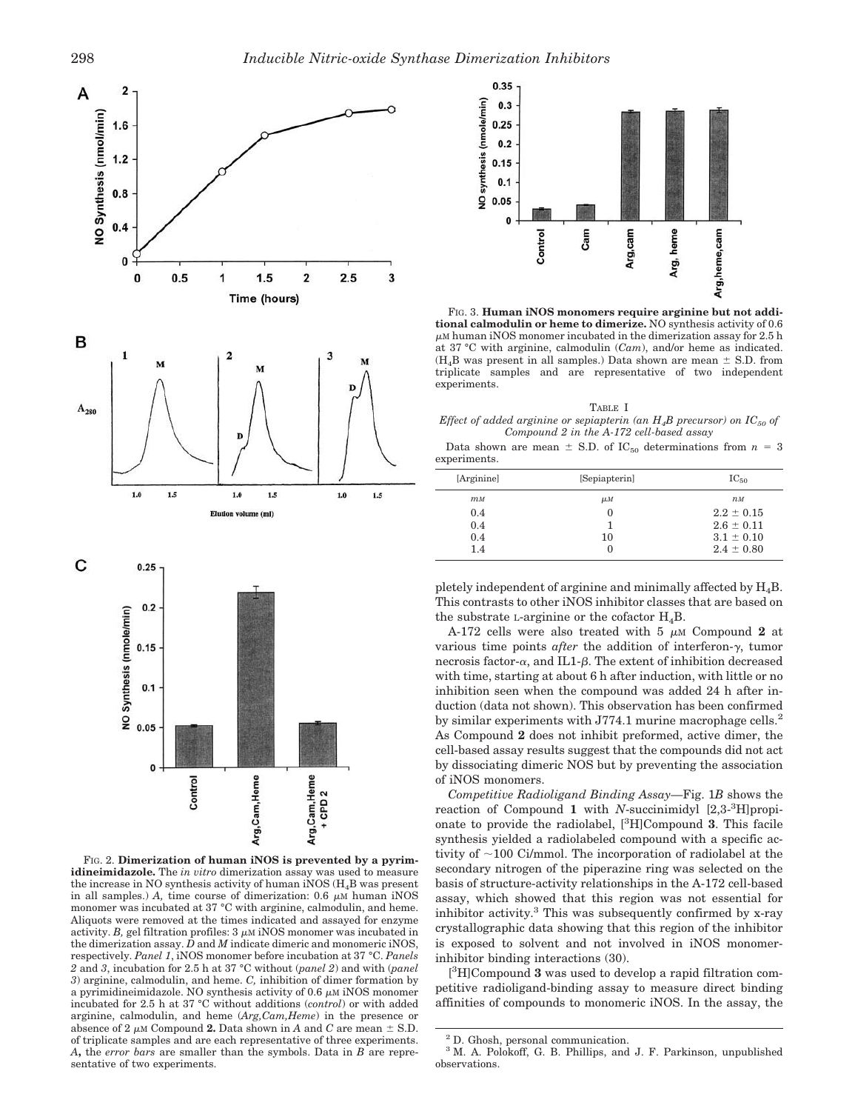

FIG. 2. **Dimerization of human iNOS is prevented by a pyrimidineimidazole.** The *in vitro* dimerization assay was used to measure the increase in NO synthesis activity of human  $i$ NOS ( $H_4$ B was present in all samples.) *A*, time course of dimerization: 0.6  $\mu$ M human iNOS monomer was incubated at 37 °C with arginine, calmodulin, and heme. Aliquots were removed at the times indicated and assayed for enzyme activity. *B*, gel filtration profiles:  $3 \mu M$  iNOS monomer was incubated in the dimerization assay. *D* and *M* indicate dimeric and monomeric iNOS, respectively. *Panel 1*, iNOS monomer before incubation at 37 °C. *Panels 2* and *3*, incubation for 2.5 h at 37 °C without (*panel 2*) and with (*panel 3*) arginine, calmodulin, and heme. *C,* inhibition of dimer formation by a pyrimidineimidazole. NO synthesis activity of  $0.6 \mu$ M iNOS monomer incubated for 2.5 h at 37 °C without additions (*control*) or with added arginine, calmodulin, and heme (*Arg,Cam,Heme*) in the presence or absence of 2  $\mu$ M Compound 2. Data shown in *A* and *C* are mean  $\pm$  S.D. of triplicate samples and are each representative of three experiments. *A***,** the *error bars* are smaller than the symbols. Data in *B* are representative of two experiments.



FIG. 3. **Human iNOS monomers require arginine but not additional calmodulin or heme to dimerize.** NO synthesis activity of 0.6  $\mu$ M human iNOS monomer incubated in the dimerization assay for 2.5 h at 37 °C with arginine, calmodulin (*Cam*), and/or heme as indicated.  $(H<sub>A</sub>B$  was present in all samples.) Data shown are mean  $\pm$  S.D. from triplicate samples and are representative of two independent experiments.

TABLE I *Effect of added arginine or sepiapterin (an*  $H_4B$  *precursor) on*  $IC_{50}$  *of Compound 2 in the A-172 cell-based assay*

Data shown are mean  $\pm$  S.D. of IC<sub>50</sub> determinations from  $n = 3$ experiments.

| [Arginine]       | [Sepiapterin] | $IC_{50}$      |
|------------------|---------------|----------------|
| $m$ <sub>M</sub> | $\mu$ M       | $n_M$          |
| 0.4              | $\theta$      | $2.2 \pm 0.15$ |
| 0.4              |               | $2.6 \pm 0.11$ |
| 0.4              | 10            | $3.1 \pm 0.10$ |
| 1.4              |               | $2.4 \pm 0.80$ |

pletely independent of arginine and minimally affected by  $H_4B$ . This contrasts to other iNOS inhibitor classes that are based on the substrate L-arginine or the cofactor  $H_4B$ .

A-172 cells were also treated with  $5 \mu M$  Compound 2 at various time points *after* the addition of interferon-γ, tumor necrosis factor- $\alpha$ , and IL1- $\beta$ . The extent of inhibition decreased with time, starting at about 6 h after induction, with little or no inhibition seen when the compound was added 24 h after induction (data not shown). This observation has been confirmed by similar experiments with J774.1 murine macrophage cells.<sup>2</sup> As Compound **2** does not inhibit preformed, active dimer, the cell-based assay results suggest that the compounds did not act by dissociating dimeric NOS but by preventing the association of iNOS monomers.

*Competitive Radioligand Binding Assay—*Fig. 1*B* shows the reaction of Compound **1** with *N*-succinimidyl [2,3-3H]propionate to provide the radiolabel, [3H]Compound **3**. This facile synthesis yielded a radiolabeled compound with a specific activity of  $\sim$ 100 Ci/mmol. The incorporation of radiolabel at the secondary nitrogen of the piperazine ring was selected on the basis of structure-activity relationships in the A-172 cell-based assay, which showed that this region was not essential for inhibitor activity.<sup>3</sup> This was subsequently confirmed by x-ray crystallographic data showing that this region of the inhibitor is exposed to solvent and not involved in iNOS monomerinhibitor binding interactions (30).

[ <sup>3</sup>H]Compound **3** was used to develop a rapid filtration competitive radioligand-binding assay to measure direct binding affinities of compounds to monomeric iNOS. In the assay, the

<sup>2</sup> D. Ghosh, personal communication.

<sup>3</sup> M. A. Polokoff, G. B. Phillips, and J. F. Parkinson, unpublished observations.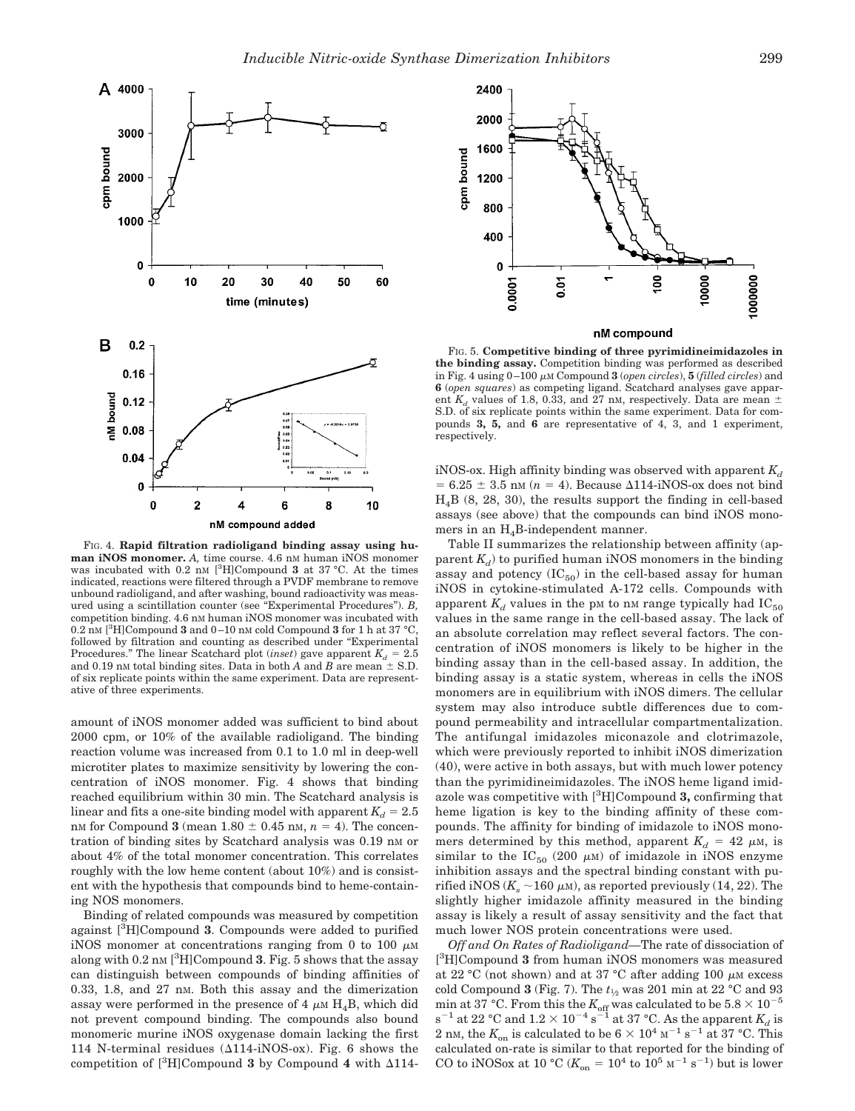

FIG. 4. **Rapid filtration radioligand binding assay using human iNOS monomer.** *A,* time course. 4.6 nM human iNOS monomer was incubated with 0.2 nm [<sup>3</sup>H]Compound 3 at 37 °C. At the times indicated, reactions were filtered through a PVDF membrane to remove unbound radioligand, and after washing, bound radioactivity was measured using a scintillation counter (see "Experimental Procedures"). *B,* competition binding. 4.6 nM human iNOS monomer was incubated with 0.2 nM [ <sup>3</sup>H]Compound **3** and 0–10 n<sup>M</sup> cold Compound **3** for 1 h at 37 °C, followed by filtration and counting as described under "Experimental Procedures." The linear Scatchard plot *(inset)* gave apparent  $K_d = 2.5$ and 0.19 nM total binding sites. Data in both  $A$  and  $B$  are mean  $\pm$  S.D. of six replicate points within the same experiment. Data are representative of three experiments.

amount of iNOS monomer added was sufficient to bind about 2000 cpm, or 10% of the available radioligand. The binding reaction volume was increased from 0.1 to 1.0 ml in deep-well microtiter plates to maximize sensitivity by lowering the concentration of iNOS monomer. Fig. 4 shows that binding reached equilibrium within 30 min. The Scatchard analysis is linear and fits a one-site binding model with apparent  $K_d = 2.5$ nM for Compound 3 (mean  $1.80 \pm 0.45$  nM,  $n = 4$ ). The concentration of binding sites by Scatchard analysis was 0.19 nM or about 4% of the total monomer concentration. This correlates roughly with the low heme content (about 10%) and is consistent with the hypothesis that compounds bind to heme-containing NOS monomers.

Binding of related compounds was measured by competition against [3H]Compound **3**. Compounds were added to purified iNOS monomer at concentrations ranging from 0 to 100  $\mu$ M along with  $0.2$  nm  $[{}^3H]$ Compound **3**. Fig. 5 shows that the assay can distinguish between compounds of binding affinities of 0.33, 1.8, and 27 nM. Both this assay and the dimerization assay were performed in the presence of 4  $\mu$ M H<sub>4</sub>B, which did not prevent compound binding. The compounds also bound monomeric murine iNOS oxygenase domain lacking the first 114 N-terminal residues  $(\Delta 114-iNOS-ox)$ . Fig. 6 shows the competition of  $\binom{3}{1}$ Compound **3** by Compound **4** with  $\Delta 114$ -



nM compound

FIG. 5. **Competitive binding of three pyrimidineimidazoles in the binding assay.** Competition binding was performed as described in Fig. 4 using  $0-100 \mu M$  Compound **3** (*open circles*), **5** (*filled circles*) and **6** (*open squares*) as competing ligand. Scatchard analyses gave apparent  $K_d$  values of 1.8, 0.33, and 27 nm, respectively. Data are mean  $\pm$ S.D. of six replicate points within the same experiment. Data for compounds **3, 5,** and **6** are representative of 4, 3, and 1 experiment, respectively.

iNOS-ox. High affinity binding was observed with apparent  $K_d$  $= 6.25 \pm 3.5$  nm ( $n = 4$ ). Because  $\Delta$ 114-iNOS-ox does not bind  $H<sub>4</sub>B$  (8, 28, 30), the results support the finding in cell-based assays (see above) that the compounds can bind iNOS monomers in an H4B-independent manner.

Table II summarizes the relationship between affinity (ap- $\mathop{\mathrm{parent}} K_d$ ) to purified human iNOS monomers in the binding assay and potency  $(IC_{50})$  in the cell-based assay for human iNOS in cytokine-stimulated A-172 cells. Compounds with apparent  $K_d$  values in the pM to nM range typically had  $IC_{50}$ values in the same range in the cell-based assay. The lack of an absolute correlation may reflect several factors. The concentration of iNOS monomers is likely to be higher in the binding assay than in the cell-based assay. In addition, the binding assay is a static system, whereas in cells the iNOS monomers are in equilibrium with iNOS dimers. The cellular system may also introduce subtle differences due to compound permeability and intracellular compartmentalization. The antifungal imidazoles miconazole and clotrimazole, which were previously reported to inhibit iNOS dimerization (40), were active in both assays, but with much lower potency than the pyrimidineimidazoles. The iNOS heme ligand imidazole was competitive with [3H]Compound **3,** confirming that heme ligation is key to the binding affinity of these compounds. The affinity for binding of imidazole to iNOS monomers determined by this method, apparent  $K_d = 42 \mu M$ , is similar to the IC<sub>50</sub> (200  $\mu$ M) of imidazole in iNOS enzyme inhibition assays and the spectral binding constant with purified iNOS ( $K_s \sim 160 \mu$ M), as reported previously (14, 22). The slightly higher imidazole affinity measured in the binding assay is likely a result of assay sensitivity and the fact that much lower NOS protein concentrations were used.

*Off and On Rates of Radioligand—*The rate of dissociation of [ <sup>3</sup>H]Compound **3** from human iNOS monomers was measured at 22 °C (not shown) and at 37 °C after adding 100  $\mu$ M excess cold Compound **3** (Fig. 7). The *t*<sup>1</sup> <sup>⁄</sup><sup>2</sup> was 201 min at 22 °C and 93 min at 37 °C. From this the  $K_{\text{off}}$  was calculated to be  $5.8 \times 10^{-5}$  $s^{-1}$  at 22 °C and  $1.2 \times 10^{-4}$   $s^{-1}$  at 37 °C. As the apparent  $K_d$  is 2 nM, the  $K_{\text{on}}$  is calculated to be  $6 \times 10^4$  M<sup>-1</sup> s<sup>-1</sup> at 37 °C. This calculated on-rate is similar to that reported for the binding of CO to iNOSox at 10 °C ( $K_{on} = 10^4$  to  $10^5$  M<sup>-1</sup> s<sup>-1</sup>) but is lower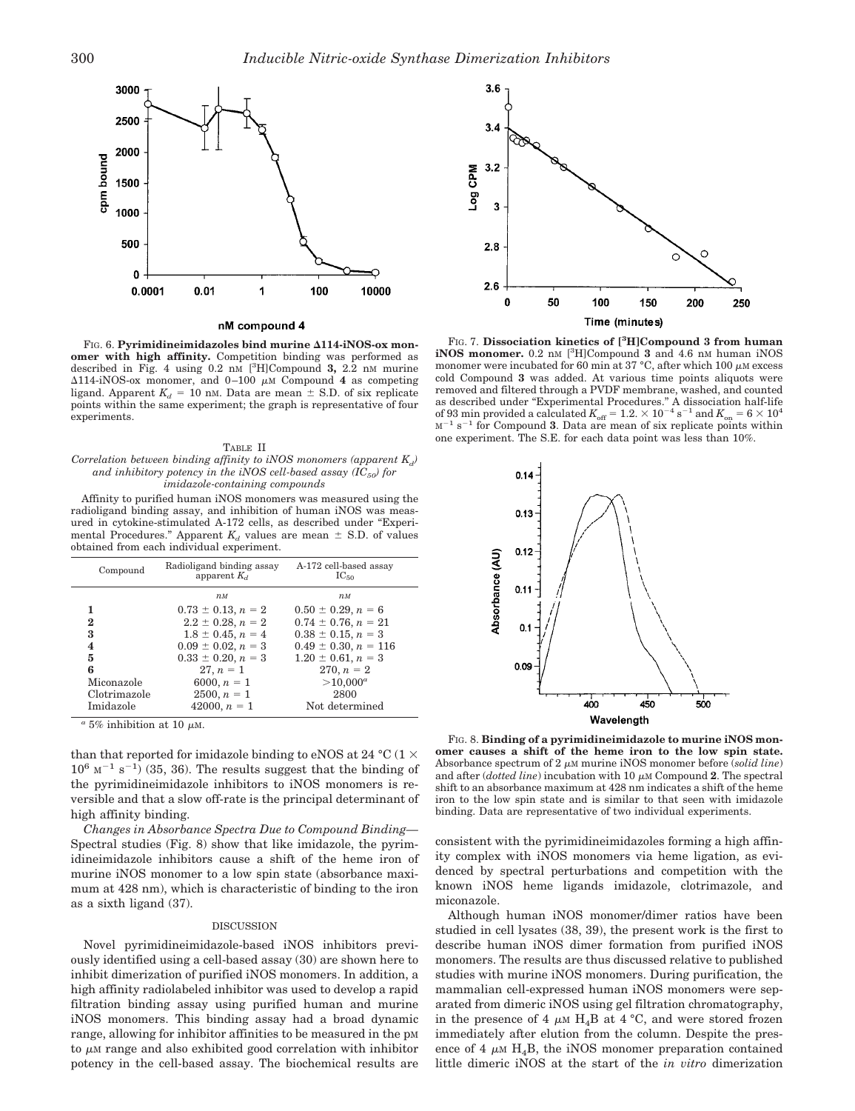

nM compound 4

FIG. 6. Pyrimidineimidazoles bind murine  $\Delta 114$ -iNOS-ox mon**omer with high affinity.** Competition binding was performed as described in Fig. 4 using 0.2 nM [ <sup>3</sup>H]Compound **3,** 2.2 n<sup>M</sup> murine  $\Delta$ 114-iNOS-ox monomer, and 0-100  $\mu$ M Compound 4 as competing ligand. Apparent  $K_d = 10$  nM. Data are mean  $\pm$  S.D. of six replicate points within the same experiment; the graph is representative of four experiments.

#### TABLE II  $\emph{Correlation between binding affinity to iNOS monomers (apparent  $K_d$ )}$ *and inhibitory potency in the iNOS cell-based assay (IC<sub>50</sub>) for imidazole-containing compounds*

Affinity to purified human iNOS monomers was measured using the radioligand binding assay, and inhibition of human iNOS was measured in cytokine-stimulated A-172 cells, as described under "Experimental Procedures." Apparent  $K_d$  values are mean  $\pm$  S.D. of values obtained from each individual experiment.

| Compound     | Radioligand binding assay<br>apparent $K_d$ | A-172 cell-based assay<br>$IC_{50}$ |
|--------------|---------------------------------------------|-------------------------------------|
|              | $n_M$                                       | $n_M$                               |
|              | $0.73 \pm 0.13$ , $n = 2$                   | $0.50 \pm 0.29$ , $n = 6$           |
| $\bf{2}$     | $2.2 \pm 0.28$ , $n = 2$                    | $0.74 \pm 0.76$ , $n = 21$          |
| 3            | $1.8 \pm 0.45$ , $n = 4$                    | $0.38 \pm 0.15$ , $n = 3$           |
| 4            | $0.09 \pm 0.02$ , $n = 3$                   | $0.49 \pm 0.30$ , $n = 116$         |
| 5            | $0.33 \pm 0.20$ , $n = 3$                   | $1.20 \pm 0.61$ , $n = 3$           |
| 6            | $27, n = 1$                                 | $270, n = 2$                        |
| Miconazole   | 6000, $n = 1$                               | $>$ 10,000 $^a$                     |
| Clotrimazole | $2500, n = 1$                               | 2800                                |
| Imidazole    | $42000, n = 1$                              | Not determined                      |

 $a$ <sup>2</sup> 5% inhibition at 10  $\mu$ M.

than that reported for imidazole binding to eNOS at 24  $^{\circ}$ C (1  $\times$  $10^6$  M<sup>-1</sup> s<sup>-1</sup>) (35, 36). The results suggest that the binding of the pyrimidineimidazole inhibitors to iNOS monomers is reversible and that a slow off-rate is the principal determinant of high affinity binding.

*Changes in Absorbance Spectra Due to Compound Binding—* Spectral studies (Fig. 8) show that like imidazole, the pyrimidineimidazole inhibitors cause a shift of the heme iron of murine iNOS monomer to a low spin state (absorbance maximum at 428 nm), which is characteristic of binding to the iron as a sixth ligand (37).

#### DISCUSSION

Novel pyrimidineimidazole-based iNOS inhibitors previously identified using a cell-based assay (30) are shown here to inhibit dimerization of purified iNOS monomers. In addition, a high affinity radiolabeled inhibitor was used to develop a rapid filtration binding assay using purified human and murine iNOS monomers. This binding assay had a broad dynamic range, allowing for inhibitor affinities to be measured in the  $p_M$ to  $\mu$ <sub>M</sub> range and also exhibited good correlation with inhibitor potency in the cell-based assay. The biochemical results are



FIG. 7. **Dissociation kinetics of [3H]Compound 3 from human iNOS monomer.** 0.2 nM [ <sup>3</sup>H]Compound **3** and 4.6 n<sup>M</sup> human iNOS monomer were incubated for 60 min at 37 °C, after which 100  $\mu$ M excess cold Compound **3** was added. At various time points aliquots were removed and filtered through a PVDF membrane, washed, and counted as described under "Experimental Procedures." A dissociation half-life<br>of 93 min provided a calculated  $K_{\text{off}} = 1.2. \times 10^{-4} \text{ s}^{-1}$  and  $K_{\text{on}} = 6 \times 10^4$  $M^{-1}$  s<sup>-1</sup> for Compound **3**. Data are mean of six replicate points within one experiment. The S.E. for each data point was less than 10%.



FIG. 8. **Binding of a pyrimidineimidazole to murine iNOS monomer causes a shift of the heme iron to the low spin state.** Absorbance spectrum of  $2 \mu M$  murine iNOS monomer before (*solid line*) and after (*dotted line*) incubation with 10  $\mu$ M Compound 2. The spectral shift to an absorbance maximum at 428 nm indicates a shift of the heme iron to the low spin state and is similar to that seen with imidazole binding. Data are representative of two individual experiments.

consistent with the pyrimidineimidazoles forming a high affinity complex with iNOS monomers via heme ligation, as evidenced by spectral perturbations and competition with the known iNOS heme ligands imidazole, clotrimazole, and miconazole.

Although human iNOS monomer/dimer ratios have been studied in cell lysates (38, 39), the present work is the first to describe human iNOS dimer formation from purified iNOS monomers. The results are thus discussed relative to published studies with murine iNOS monomers. During purification, the mammalian cell-expressed human iNOS monomers were separated from dimeric iNOS using gel filtration chromatography, in the presence of 4  $\mu$ M H<sub>4</sub>B at 4 °C, and were stored frozen immediately after elution from the column. Despite the presence of 4  $\mu$ M H<sub>4</sub>B, the iNOS monomer preparation contained little dimeric iNOS at the start of the *in vitro* dimerization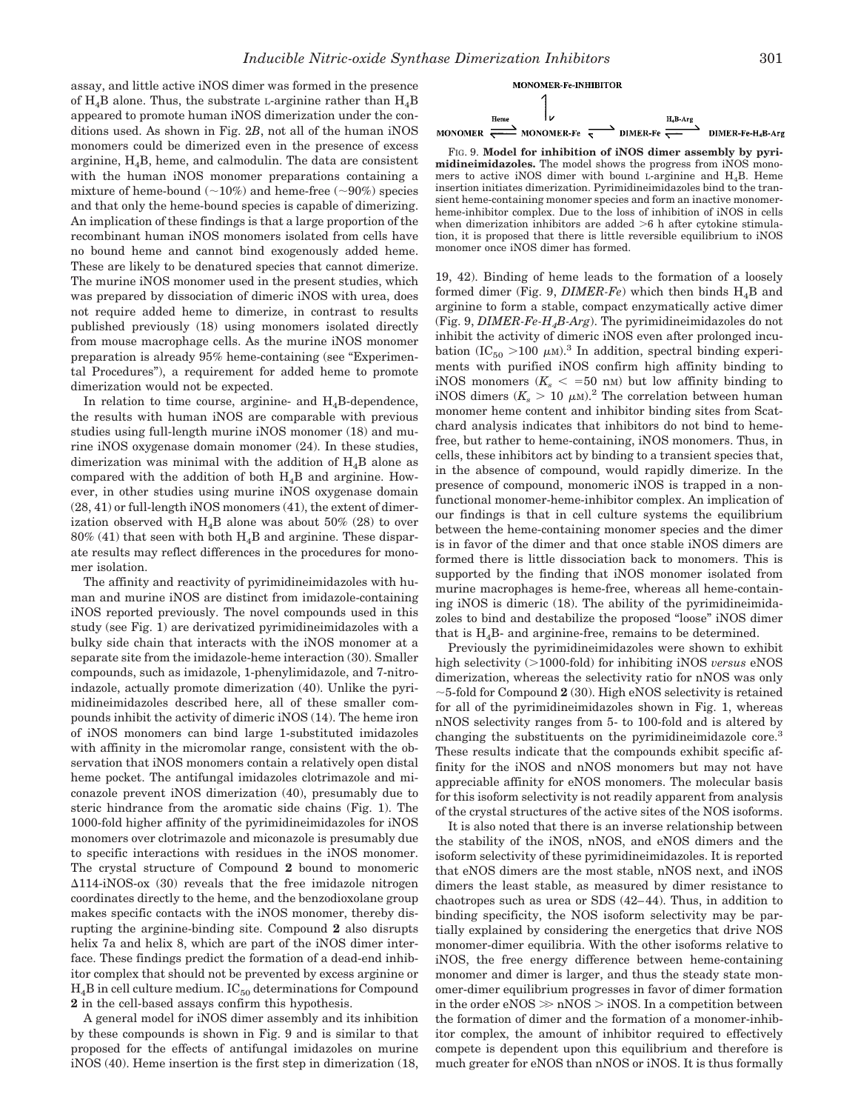assay, and little active iNOS dimer was formed in the presence of  $H_4B$  alone. Thus, the substrate L-arginine rather than  $H_4B$ appeared to promote human iNOS dimerization under the conditions used. As shown in Fig. 2*B*, not all of the human iNOS monomers could be dimerized even in the presence of excess arginine,  $H_4B$ , heme, and calmodulin. The data are consistent with the human iNOS monomer preparations containing a mixture of heme-bound  $(\sim 10\%)$  and heme-free  $(\sim 90\%)$  species and that only the heme-bound species is capable of dimerizing. An implication of these findings is that a large proportion of the recombinant human iNOS monomers isolated from cells have no bound heme and cannot bind exogenously added heme. These are likely to be denatured species that cannot dimerize. The murine iNOS monomer used in the present studies, which was prepared by dissociation of dimeric iNOS with urea, does not require added heme to dimerize, in contrast to results published previously (18) using monomers isolated directly from mouse macrophage cells. As the murine iNOS monomer preparation is already 95% heme-containing (see "Experimental Procedures"), a requirement for added heme to promote dimerization would not be expected.

In relation to time course, arginine- and  $H_4B$ -dependence, the results with human iNOS are comparable with previous studies using full-length murine iNOS monomer (18) and murine iNOS oxygenase domain monomer (24). In these studies, dimerization was minimal with the addition of  $H<sub>4</sub>B$  alone as compared with the addition of both  $H<sub>a</sub>B$  and arginine. However, in other studies using murine iNOS oxygenase domain (28, 41) or full-length iNOS monomers (41), the extent of dimerization observed with  $H<sub>4</sub>B$  alone was about 50% (28) to over  $80\%$  (41) that seen with both  $H_4B$  and arginine. These disparate results may reflect differences in the procedures for monomer isolation.

The affinity and reactivity of pyrimidineimidazoles with human and murine iNOS are distinct from imidazole-containing iNOS reported previously. The novel compounds used in this study (see Fig. 1) are derivatized pyrimidineimidazoles with a bulky side chain that interacts with the iNOS monomer at a separate site from the imidazole-heme interaction (30). Smaller compounds, such as imidazole, 1-phenylimidazole, and 7-nitroindazole, actually promote dimerization (40). Unlike the pyrimidineimidazoles described here, all of these smaller compounds inhibit the activity of dimeric iNOS (14). The heme iron of iNOS monomers can bind large 1-substituted imidazoles with affinity in the micromolar range, consistent with the observation that iNOS monomers contain a relatively open distal heme pocket. The antifungal imidazoles clotrimazole and miconazole prevent iNOS dimerization (40), presumably due to steric hindrance from the aromatic side chains (Fig. 1). The 1000-fold higher affinity of the pyrimidineimidazoles for iNOS monomers over clotrimazole and miconazole is presumably due to specific interactions with residues in the iNOS monomer. The crystal structure of Compound **2** bound to monomeric 114-iNOS-ox (30) reveals that the free imidazole nitrogen coordinates directly to the heme, and the benzodioxolane group makes specific contacts with the iNOS monomer, thereby disrupting the arginine-binding site. Compound **2** also disrupts helix 7a and helix 8, which are part of the iNOS dimer interface. These findings predict the formation of a dead-end inhibitor complex that should not be prevented by excess arginine or  $H_4B$  in cell culture medium.  $IC_{50}$  determinations for Compound **2** in the cell-based assays confirm this hypothesis.

A general model for iNOS dimer assembly and its inhibition by these compounds is shown in Fig. 9 and is similar to that proposed for the effects of antifungal imidazoles on murine iNOS (40). Heme insertion is the first step in dimerization (18,

MONOMER-Fe-INHIBITOR



FIG. 9. **Model for inhibition of iNOS dimer assembly by pyrimidineimidazoles.** The model shows the progress from iNOS monomers to active iNOS dimer with bound L-arginine and H<sub>4</sub>B. Heme insertion initiates dimerization. Pyrimidineimidazoles bind to the transient heme-containing monomer species and form an inactive monomerheme-inhibitor complex. Due to the loss of inhibition of iNOS in cells when dimerization inhibitors are added  $>6$  h after cytokine stimulation, it is proposed that there is little reversible equilibrium to iNOS monomer once iNOS dimer has formed.

19, 42). Binding of heme leads to the formation of a loosely formed dimer (Fig. 9,  $DIMER\text{-}Fe$ ) which then binds  $H_4B$  and arginine to form a stable, compact enzymatically active dimer (Fig. 9, *DIMER-Fe-H4B-Arg*). The pyrimidineimidazoles do not inhibit the activity of dimeric iNOS even after prolonged incubation  $(IC_{50} > 100 \mu M)^3$  In addition, spectral binding experiments with purified iNOS confirm high affinity binding to iNOS monomers  $(K_s < =50$  nm) but low affinity binding to iNOS dimers  $(K_s > 10 \mu M)^2$ . The correlation between human monomer heme content and inhibitor binding sites from Scatchard analysis indicates that inhibitors do not bind to hemefree, but rather to heme-containing, iNOS monomers. Thus, in cells, these inhibitors act by binding to a transient species that, in the absence of compound, would rapidly dimerize. In the presence of compound, monomeric iNOS is trapped in a nonfunctional monomer-heme-inhibitor complex. An implication of our findings is that in cell culture systems the equilibrium between the heme-containing monomer species and the dimer is in favor of the dimer and that once stable iNOS dimers are formed there is little dissociation back to monomers. This is supported by the finding that iNOS monomer isolated from murine macrophages is heme-free, whereas all heme-containing iNOS is dimeric (18). The ability of the pyrimidineimidazoles to bind and destabilize the proposed "loose" iNOS dimer that is  $H_4B$ - and arginine-free, remains to be determined.

Previously the pyrimidineimidazoles were shown to exhibit high selectivity (>1000-fold) for inhibiting iNOS *versus* eNOS dimerization, whereas the selectivity ratio for nNOS was only  $\sim$  5-fold for Compound 2 (30). High eNOS selectivity is retained for all of the pyrimidineimidazoles shown in Fig. 1, whereas nNOS selectivity ranges from 5- to 100-fold and is altered by changing the substituents on the pyrimidineimidazole core.<sup>3</sup> These results indicate that the compounds exhibit specific affinity for the iNOS and nNOS monomers but may not have appreciable affinity for eNOS monomers. The molecular basis for this isoform selectivity is not readily apparent from analysis of the crystal structures of the active sites of the NOS isoforms.

It is also noted that there is an inverse relationship between the stability of the iNOS, nNOS, and eNOS dimers and the isoform selectivity of these pyrimidineimidazoles. It is reported that eNOS dimers are the most stable, nNOS next, and iNOS dimers the least stable, as measured by dimer resistance to chaotropes such as urea or SDS (42–44). Thus, in addition to binding specificity, the NOS isoform selectivity may be partially explained by considering the energetics that drive NOS monomer-dimer equilibria. With the other isoforms relative to iNOS, the free energy difference between heme-containing monomer and dimer is larger, and thus the steady state monomer-dimer equilibrium progresses in favor of dimer formation in the order  $eNOS \gg nNOS > iNOS$ . In a competition between the formation of dimer and the formation of a monomer-inhibitor complex, the amount of inhibitor required to effectively compete is dependent upon this equilibrium and therefore is much greater for eNOS than nNOS or iNOS. It is thus formally